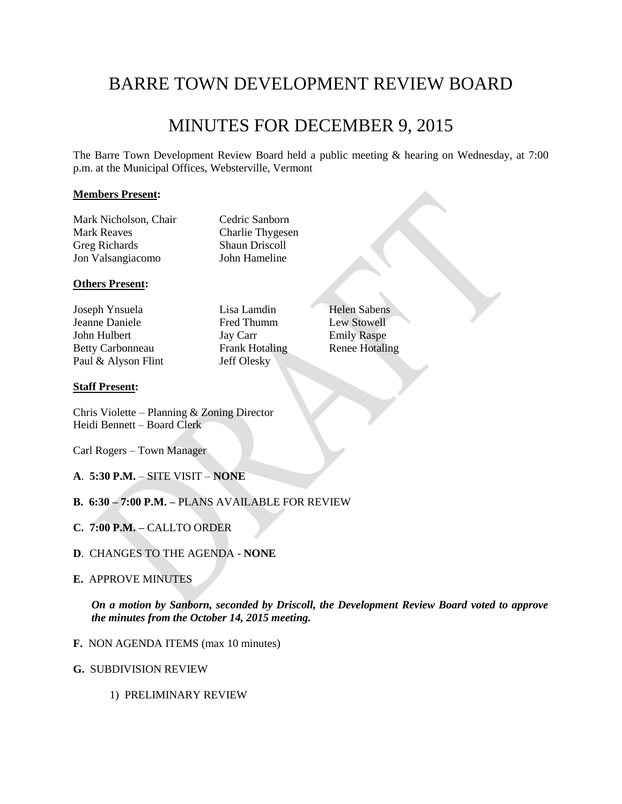# BARRE TOWN DEVELOPMENT REVIEW BOARD

# MINUTES FOR DECEMBER 9, 2015

The Barre Town Development Review Board held a public meeting & hearing on Wednesday, at 7:00 p.m. at the Municipal Offices, Websterville, Vermont

## **Members Present:**

Mark Nicholson, Chair Cedric Sanborn Mark Reaves Charlie Thygesen Greg Richards Shaun Driscoll Jon Valsangiacomo John Hameline

## **Others Present:**

Joseph Ynsuela Lisa Lamdin Helen Sabens Jeanne Daniele Fred Thumm Lew Stowell John Hulbert Jay Carr Emily Raspe Betty Carbonneau Frank Hotaling Renee Hotaling Paul & Alyson Flint Jeff Olesky

## **Staff Present:**

Chris Violette – Planning & Zoning Director Heidi Bennett – Board Clerk

Carl Rogers – Town Manager

- **A**. **5:30 P.M.** SITE VISIT **NONE**
- **B. 6:30 – 7:00 P.M. –** PLANS AVAILABLE FOR REVIEW
- **C. 7:00 P.M. –** CALLTO ORDER
- **D**. CHANGES TO THE AGENDA **NONE**
- **E.** APPROVE MINUTES

*On a motion by Sanborn, seconded by Driscoll, the Development Review Board voted to approve the minutes from the October 14, 2015 meeting.*

- **F.** NON AGENDA ITEMS (max 10 minutes)
- **G.** SUBDIVISION REVIEW
	- 1) PRELIMINARY REVIEW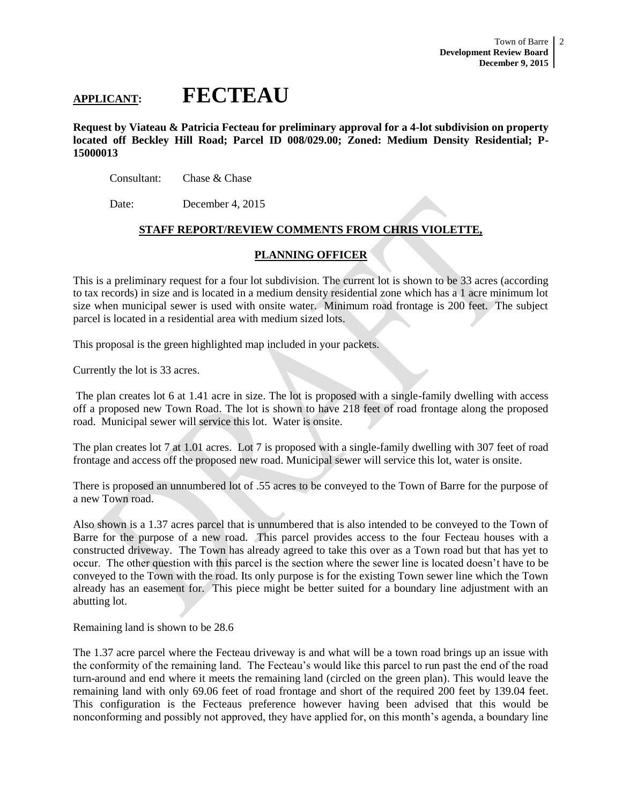# **APPLICANT: FECTEAU**

**Request by Viateau & Patricia Fecteau for preliminary approval for a 4-lot subdivision on property located off Beckley Hill Road; Parcel ID 008/029.00; Zoned: Medium Density Residential; P-15000013**

Consultant: Chase & Chase

Date: December 4, 2015

## **STAFF REPORT/REVIEW COMMENTS FROM CHRIS VIOLETTE,**

## **PLANNING OFFICER**

This is a preliminary request for a four lot subdivision. The current lot is shown to be 33 acres (according to tax records) in size and is located in a medium density residential zone which has a 1 acre minimum lot size when municipal sewer is used with onsite water. Minimum road frontage is 200 feet. The subject parcel is located in a residential area with medium sized lots.

This proposal is the green highlighted map included in your packets.

Currently the lot is 33 acres.

The plan creates lot 6 at 1.41 acre in size. The lot is proposed with a single-family dwelling with access off a proposed new Town Road. The lot is shown to have 218 feet of road frontage along the proposed road. Municipal sewer will service this lot. Water is onsite.

The plan creates lot 7 at 1.01 acres. Lot 7 is proposed with a single-family dwelling with 307 feet of road frontage and access off the proposed new road. Municipal sewer will service this lot, water is onsite.

There is proposed an unnumbered lot of .55 acres to be conveyed to the Town of Barre for the purpose of a new Town road.

Also shown is a 1.37 acres parcel that is unnumbered that is also intended to be conveyed to the Town of Barre for the purpose of a new road. This parcel provides access to the four Fecteau houses with a constructed driveway. The Town has already agreed to take this over as a Town road but that has yet to occur. The other question with this parcel is the section where the sewer line is located doesn't have to be conveyed to the Town with the road. Its only purpose is for the existing Town sewer line which the Town already has an easement for. This piece might be better suited for a boundary line adjustment with an abutting lot.

Remaining land is shown to be 28.6

The 1.37 acre parcel where the Fecteau driveway is and what will be a town road brings up an issue with the conformity of the remaining land. The Fecteau's would like this parcel to run past the end of the road turn-around and end where it meets the remaining land (circled on the green plan). This would leave the remaining land with only 69.06 feet of road frontage and short of the required 200 feet by 139.04 feet. This configuration is the Fecteaus preference however having been advised that this would be nonconforming and possibly not approved, they have applied for, on this month's agenda, a boundary line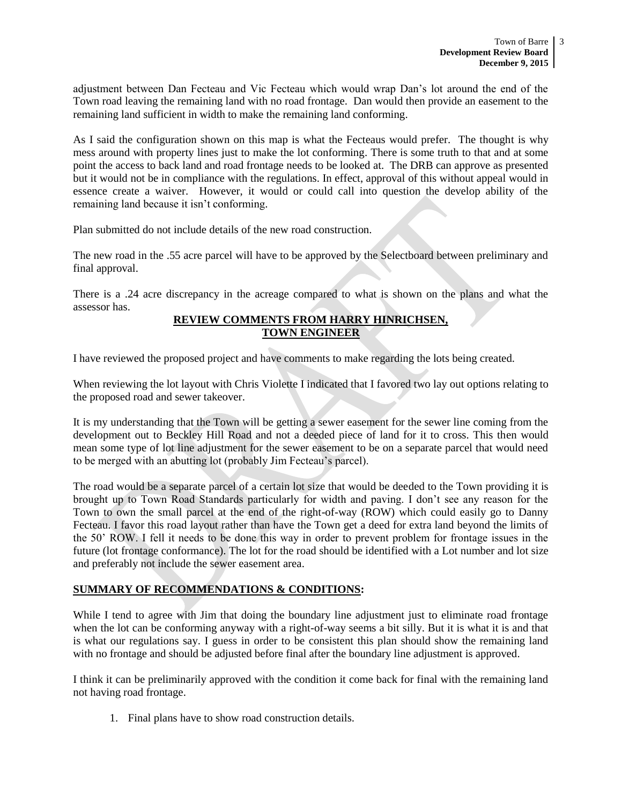adjustment between Dan Fecteau and Vic Fecteau which would wrap Dan's lot around the end of the Town road leaving the remaining land with no road frontage. Dan would then provide an easement to the remaining land sufficient in width to make the remaining land conforming.

As I said the configuration shown on this map is what the Fecteaus would prefer. The thought is why mess around with property lines just to make the lot conforming. There is some truth to that and at some point the access to back land and road frontage needs to be looked at. The DRB can approve as presented but it would not be in compliance with the regulations. In effect, approval of this without appeal would in essence create a waiver. However, it would or could call into question the develop ability of the remaining land because it isn't conforming.

Plan submitted do not include details of the new road construction.

The new road in the .55 acre parcel will have to be approved by the Selectboard between preliminary and final approval.

There is a .24 acre discrepancy in the acreage compared to what is shown on the plans and what the assessor has.

## **REVIEW COMMENTS FROM HARRY HINRICHSEN, TOWN ENGINEER**

I have reviewed the proposed project and have comments to make regarding the lots being created.

When reviewing the lot layout with Chris Violette I indicated that I favored two lay out options relating to the proposed road and sewer takeover.

It is my understanding that the Town will be getting a sewer easement for the sewer line coming from the development out to Beckley Hill Road and not a deeded piece of land for it to cross. This then would mean some type of lot line adjustment for the sewer easement to be on a separate parcel that would need to be merged with an abutting lot (probably Jim Fecteau's parcel).

The road would be a separate parcel of a certain lot size that would be deeded to the Town providing it is brought up to Town Road Standards particularly for width and paving. I don't see any reason for the Town to own the small parcel at the end of the right-of-way (ROW) which could easily go to Danny Fecteau. I favor this road layout rather than have the Town get a deed for extra land beyond the limits of the 50' ROW. I fell it needs to be done this way in order to prevent problem for frontage issues in the future (lot frontage conformance). The lot for the road should be identified with a Lot number and lot size and preferably not include the sewer easement area.

# **SUMMARY OF RECOMMENDATIONS & CONDITIONS:**

While I tend to agree with Jim that doing the boundary line adjustment just to eliminate road frontage when the lot can be conforming anyway with a right-of-way seems a bit silly. But it is what it is and that is what our regulations say. I guess in order to be consistent this plan should show the remaining land with no frontage and should be adjusted before final after the boundary line adjustment is approved.

I think it can be preliminarily approved with the condition it come back for final with the remaining land not having road frontage.

1. Final plans have to show road construction details.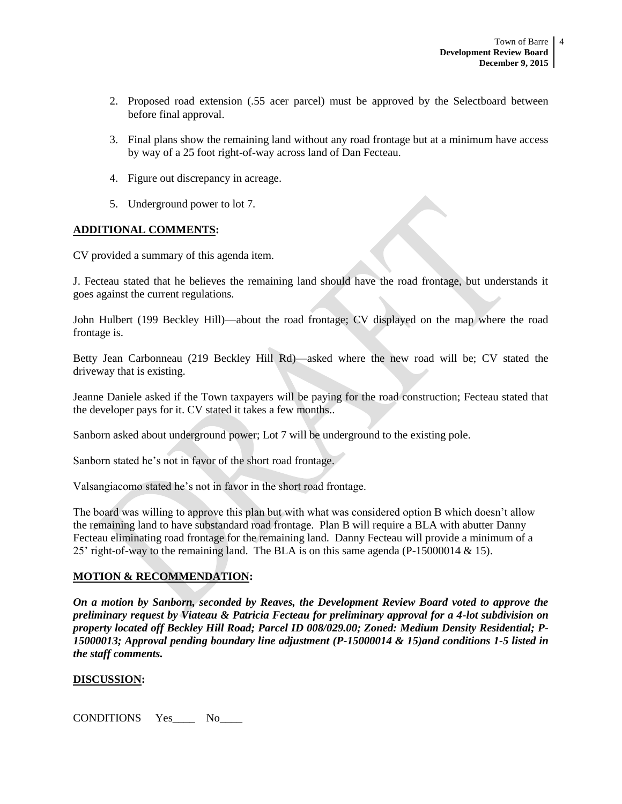- 2. Proposed road extension (.55 acer parcel) must be approved by the Selectboard between before final approval.
- 3. Final plans show the remaining land without any road frontage but at a minimum have access by way of a 25 foot right-of-way across land of Dan Fecteau.
- 4. Figure out discrepancy in acreage.
- 5. Underground power to lot 7.

## **ADDITIONAL COMMENTS:**

CV provided a summary of this agenda item.

J. Fecteau stated that he believes the remaining land should have the road frontage, but understands it goes against the current regulations.

John Hulbert (199 Beckley Hill)—about the road frontage; CV displayed on the map where the road frontage is.

Betty Jean Carbonneau (219 Beckley Hill Rd)—asked where the new road will be; CV stated the driveway that is existing.

Jeanne Daniele asked if the Town taxpayers will be paying for the road construction; Fecteau stated that the developer pays for it. CV stated it takes a few months..

Sanborn asked about underground power; Lot 7 will be underground to the existing pole.

Sanborn stated he's not in favor of the short road frontage.

Valsangiacomo stated he's not in favor in the short road frontage.

The board was willing to approve this plan but with what was considered option B which doesn't allow the remaining land to have substandard road frontage. Plan B will require a BLA with abutter Danny Fecteau eliminating road frontage for the remaining land. Danny Fecteau will provide a minimum of a 25' right-of-way to the remaining land. The BLA is on this same agenda (P-15000014  $\&$  15).

## **MOTION & RECOMMENDATION:**

*On a motion by Sanborn, seconded by Reaves, the Development Review Board voted to approve the preliminary request by Viateau & Patricia Fecteau for preliminary approval for a 4-lot subdivision on property located off Beckley Hill Road; Parcel ID 008/029.00; Zoned: Medium Density Residential; P-15000013; Approval pending boundary line adjustment (P-15000014 & 15)and conditions 1-5 listed in the staff comments.*

## **DISCUSSION:**

CONDITIONS Yes\_\_\_\_ No\_\_\_\_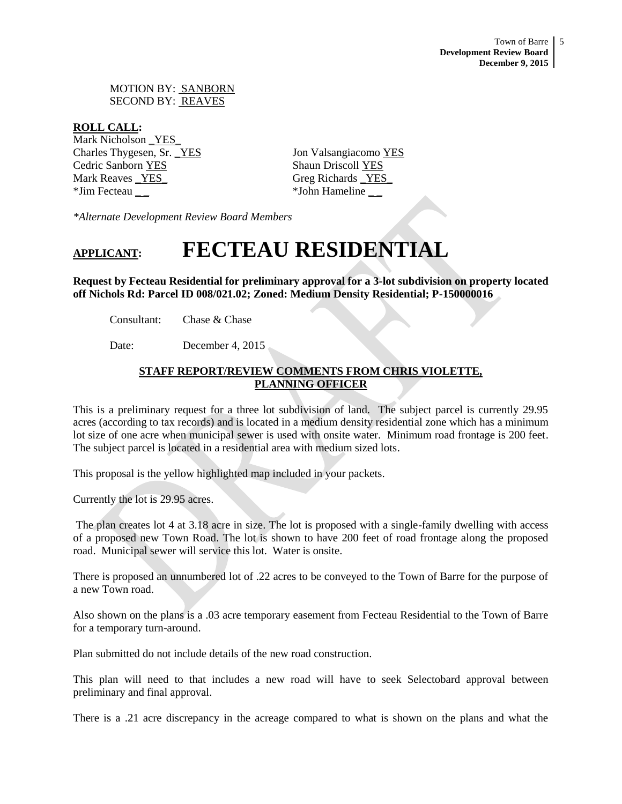MOTION BY: SANBORN SECOND BY: REAVES

## **ROLL CALL:**

Mark Nicholson \_YES\_ Charles Thygesen, Sr. \_YES Jon Valsangiacomo YES Cedric Sanborn YES Shaun Driscoll YES Mark Reaves <u>YES</u> Greg Richards **EXALL** \*Jim Fecteau \_ \_ \*John Hameline \_ \_

*\*Alternate Development Review Board Members*

# **APPLICANT: FECTEAU RESIDENTIAL**

**Request by Fecteau Residential for preliminary approval for a 3-lot subdivision on property located off Nichols Rd: Parcel ID 008/021.02; Zoned: Medium Density Residential; P-150000016** 

Consultant: Chase & Chase

Date: December 4, 2015

# **STAFF REPORT/REVIEW COMMENTS FROM CHRIS VIOLETTE, PLANNING OFFICER**

This is a preliminary request for a three lot subdivision of land. The subject parcel is currently 29.95 acres (according to tax records) and is located in a medium density residential zone which has a minimum lot size of one acre when municipal sewer is used with onsite water. Minimum road frontage is 200 feet. The subject parcel is located in a residential area with medium sized lots.

This proposal is the yellow highlighted map included in your packets.

Currently the lot is 29.95 acres.

The plan creates lot 4 at 3.18 acre in size. The lot is proposed with a single-family dwelling with access of a proposed new Town Road. The lot is shown to have 200 feet of road frontage along the proposed road. Municipal sewer will service this lot. Water is onsite.

There is proposed an unnumbered lot of .22 acres to be conveyed to the Town of Barre for the purpose of a new Town road.

Also shown on the plans is a .03 acre temporary easement from Fecteau Residential to the Town of Barre for a temporary turn-around.

Plan submitted do not include details of the new road construction.

This plan will need to that includes a new road will have to seek Selectobard approval between preliminary and final approval.

There is a .21 acre discrepancy in the acreage compared to what is shown on the plans and what the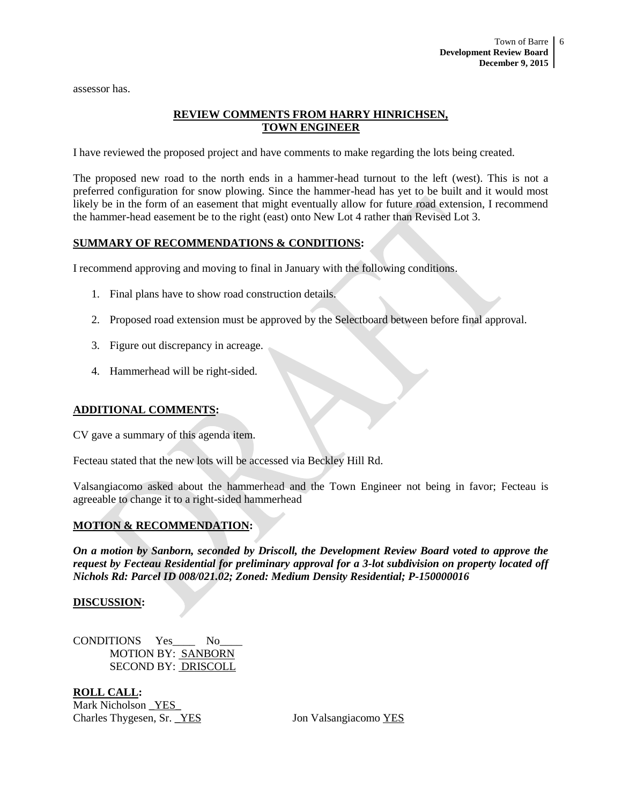assessor has.

# **REVIEW COMMENTS FROM HARRY HINRICHSEN, TOWN ENGINEER**

I have reviewed the proposed project and have comments to make regarding the lots being created.

The proposed new road to the north ends in a hammer-head turnout to the left (west). This is not a preferred configuration for snow plowing. Since the hammer-head has yet to be built and it would most likely be in the form of an easement that might eventually allow for future road extension, I recommend the hammer-head easement be to the right (east) onto New Lot 4 rather than Revised Lot 3.

## **SUMMARY OF RECOMMENDATIONS & CONDITIONS:**

I recommend approving and moving to final in January with the following conditions.

- 1. Final plans have to show road construction details.
- 2. Proposed road extension must be approved by the Selectboard between before final approval.
- 3. Figure out discrepancy in acreage.
- 4. Hammerhead will be right-sided.

## **ADDITIONAL COMMENTS:**

CV gave a summary of this agenda item.

Fecteau stated that the new lots will be accessed via Beckley Hill Rd.

Valsangiacomo asked about the hammerhead and the Town Engineer not being in favor; Fecteau is agreeable to change it to a right-sided hammerhead

## **MOTION & RECOMMENDATION:**

*On a motion by Sanborn, seconded by Driscoll, the Development Review Board voted to approve the request by Fecteau Residential for preliminary approval for a 3-lot subdivision on property located off Nichols Rd: Parcel ID 008/021.02; Zoned: Medium Density Residential; P-150000016* 

## **DISCUSSION:**

CONDITIONS Yes No MOTION BY: SANBORN SECOND BY: DRISCOLL

**ROLL CALL:** Mark Nicholson \_YES\_ Charles Thygesen, Sr. <u>YES</u> Jon Valsangiacomo YES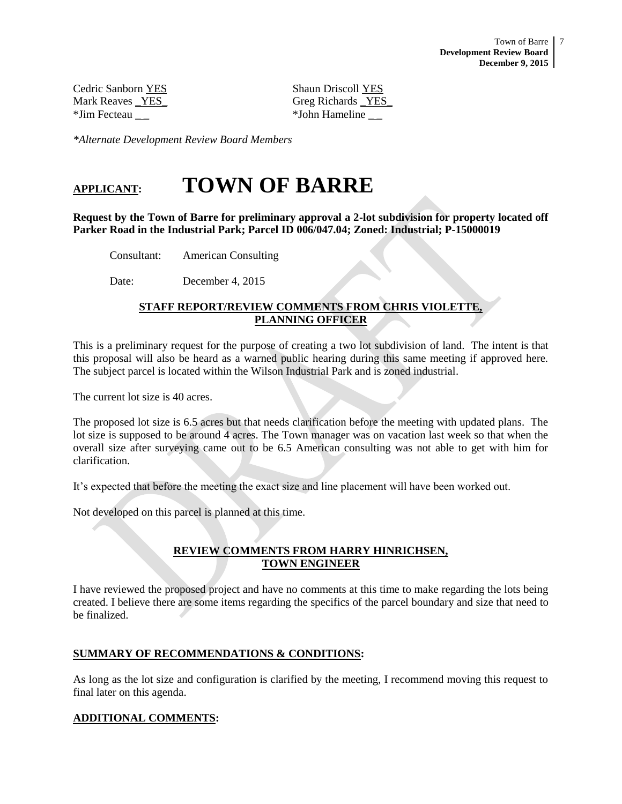Cedric Sanborn YES Shaun Driscoll YES \*Jim Fecteau \_ \_ \*John Hameline \_ \_

Mark Reaves YES Greg Richards YES

*\*Alternate Development Review Board Members*

# **APPLICANT: TOWN OF BARRE**

**Request by the Town of Barre for preliminary approval a 2-lot subdivision for property located off Parker Road in the Industrial Park; Parcel ID 006/047.04; Zoned: Industrial; P-15000019**

Consultant: American Consulting

Date: December 4, 2015

# **STAFF REPORT/REVIEW COMMENTS FROM CHRIS VIOLETTE, PLANNING OFFICER**

This is a preliminary request for the purpose of creating a two lot subdivision of land. The intent is that this proposal will also be heard as a warned public hearing during this same meeting if approved here. The subject parcel is located within the Wilson Industrial Park and is zoned industrial.

The current lot size is 40 acres.

The proposed lot size is 6.5 acres but that needs clarification before the meeting with updated plans. The lot size is supposed to be around 4 acres. The Town manager was on vacation last week so that when the overall size after surveying came out to be 6.5 American consulting was not able to get with him for clarification.

It's expected that before the meeting the exact size and line placement will have been worked out.

Not developed on this parcel is planned at this time.

## **REVIEW COMMENTS FROM HARRY HINRICHSEN, TOWN ENGINEER**

I have reviewed the proposed project and have no comments at this time to make regarding the lots being created. I believe there are some items regarding the specifics of the parcel boundary and size that need to be finalized.

## **SUMMARY OF RECOMMENDATIONS & CONDITIONS:**

As long as the lot size and configuration is clarified by the meeting, I recommend moving this request to final later on this agenda.

## **ADDITIONAL COMMENTS:**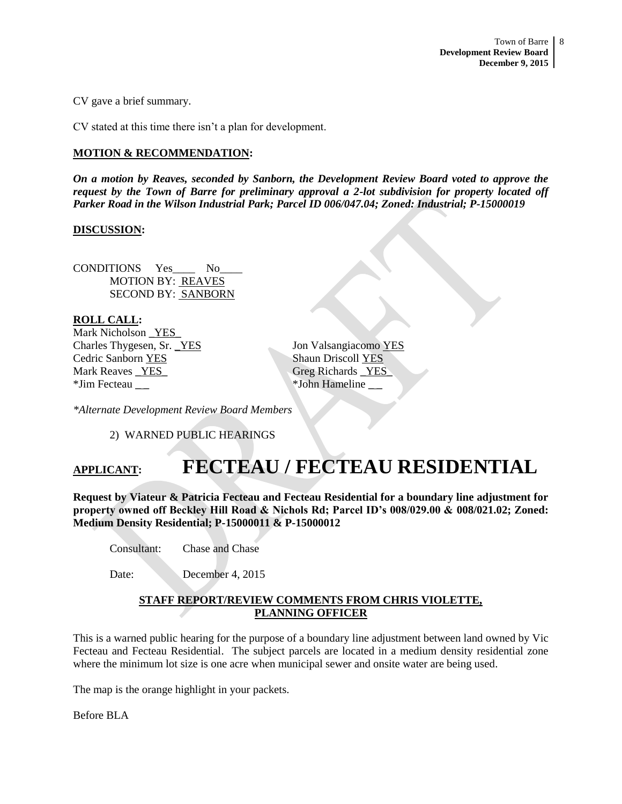CV gave a brief summary.

CV stated at this time there isn't a plan for development.

## **MOTION & RECOMMENDATION:**

*On a motion by Reaves, seconded by Sanborn, the Development Review Board voted to approve the request by the Town of Barre for preliminary approval a 2-lot subdivision for property located off Parker Road in the Wilson Industrial Park; Parcel ID 006/047.04; Zoned: Industrial; P-15000019*

## **DISCUSSION:**

CONDITIONS Yes No MOTION BY: REAVES SECOND BY: SANBORN

**ROLL CALL:** Mark Nicholson YES Charles Thygesen, Sr. \_YES Jon Valsangiacomo YES **Cedric Sanborn YES** Shaun Driscoll YES Mark Reaves YES Greg Richards YES \*Jim Fecteau \_ \_ \*John Hameline \_ \_

*\*Alternate Development Review Board Members*

2) WARNED PUBLIC HEARINGS

# **APPLICANT: FECTEAU / FECTEAU RESIDENTIAL**

**Request by Viateur & Patricia Fecteau and Fecteau Residential for a boundary line adjustment for property owned off Beckley Hill Road & Nichols Rd; Parcel ID's 008/029.00 & 008/021.02; Zoned: Medium Density Residential; P-15000011 & P-15000012** 

Consultant: Chase and Chase

Date: December 4, 2015

## **STAFF REPORT/REVIEW COMMENTS FROM CHRIS VIOLETTE, PLANNING OFFICER**

This is a warned public hearing for the purpose of a boundary line adjustment between land owned by Vic Fecteau and Fecteau Residential. The subject parcels are located in a medium density residential zone where the minimum lot size is one acre when municipal sewer and onsite water are being used.

The map is the orange highlight in your packets.

Before BLA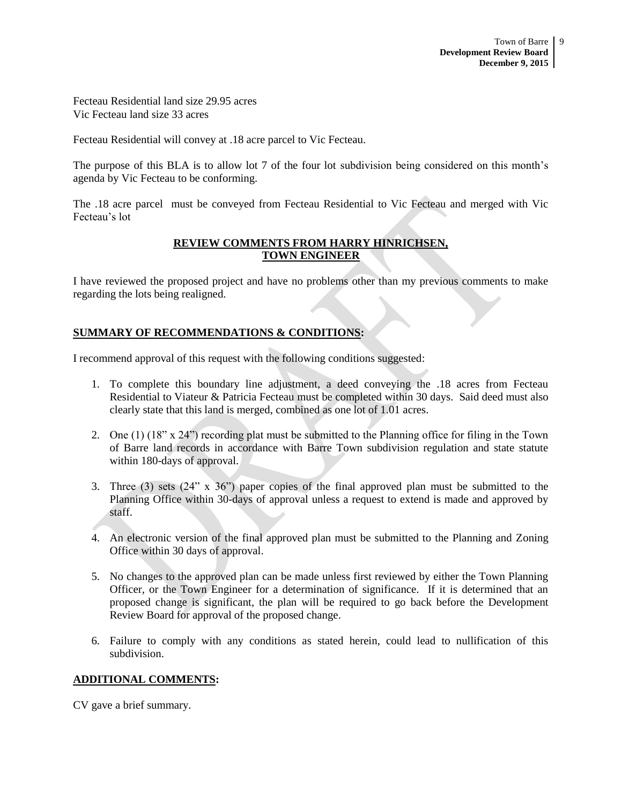Fecteau Residential land size 29.95 acres Vic Fecteau land size 33 acres

Fecteau Residential will convey at .18 acre parcel to Vic Fecteau.

The purpose of this BLA is to allow lot 7 of the four lot subdivision being considered on this month's agenda by Vic Fecteau to be conforming.

The .18 acre parcel must be conveyed from Fecteau Residential to Vic Fecteau and merged with Vic Fecteau's lot

# **REVIEW COMMENTS FROM HARRY HINRICHSEN, TOWN ENGINEER**

I have reviewed the proposed project and have no problems other than my previous comments to make regarding the lots being realigned.

# **SUMMARY OF RECOMMENDATIONS & CONDITIONS:**

I recommend approval of this request with the following conditions suggested:

- 1. To complete this boundary line adjustment, a deed conveying the .18 acres from Fecteau Residential to Viateur & Patricia Fecteau must be completed within 30 days. Said deed must also clearly state that this land is merged, combined as one lot of 1.01 acres.
- 2. One (1) (18" x 24") recording plat must be submitted to the Planning office for filing in the Town of Barre land records in accordance with Barre Town subdivision regulation and state statute within 180-days of approval.
- 3. Three (3) sets (24" x 36") paper copies of the final approved plan must be submitted to the Planning Office within 30-days of approval unless a request to extend is made and approved by staff.
- 4. An electronic version of the final approved plan must be submitted to the Planning and Zoning Office within 30 days of approval.
- 5. No changes to the approved plan can be made unless first reviewed by either the Town Planning Officer, or the Town Engineer for a determination of significance. If it is determined that an proposed change is significant, the plan will be required to go back before the Development Review Board for approval of the proposed change.
- 6. Failure to comply with any conditions as stated herein, could lead to nullification of this subdivision.

# **ADDITIONAL COMMENTS:**

CV gave a brief summary.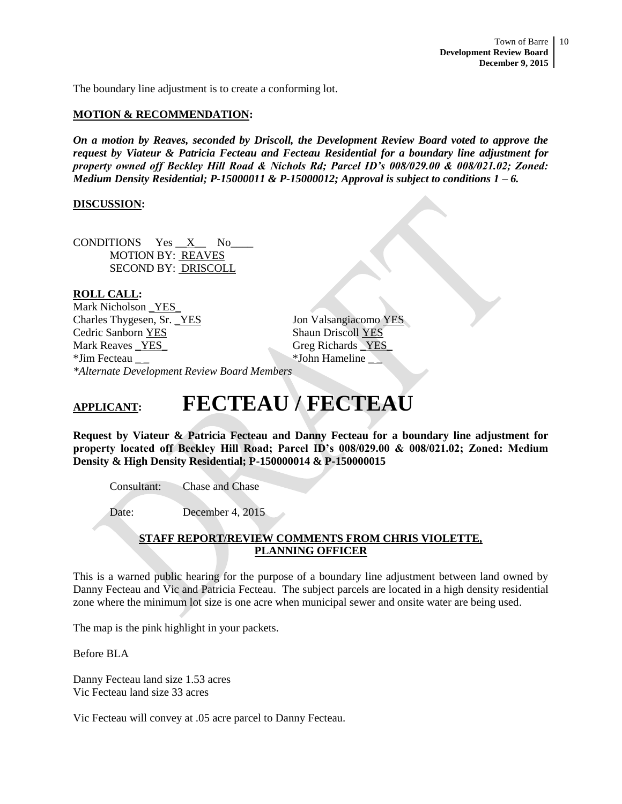The boundary line adjustment is to create a conforming lot.

## **MOTION & RECOMMENDATION:**

*On a motion by Reaves, seconded by Driscoll, the Development Review Board voted to approve the request by Viateur & Patricia Fecteau and Fecteau Residential for a boundary line adjustment for property owned off Beckley Hill Road & Nichols Rd; Parcel ID's 008/029.00 & 008/021.02; Zoned: Medium Density Residential; P-15000011 & P-15000012; Approval is subject to conditions 1 – 6.* 

## **DISCUSSION:**

CONDITIONS Yes \_\_X\_\_ No\_\_\_\_ MOTION BY: REAVES SECOND BY: DRISCOLL

## **ROLL CALL:**

Mark Nicholson YES Charles Thygesen, Sr. <u>YES</u> Jon Valsangiacomo YES Cedric Sanborn YES Shaun Driscoll YES Mark Reaves \_YES\_ Greg Richards \_YES\_ \*Jim Fecteau \_ \_ \*John Hameline \_ \_ *\*Alternate Development Review Board Members*

# **APPLICANT: FECTEAU / FECTEAU**

**Request by Viateur & Patricia Fecteau and Danny Fecteau for a boundary line adjustment for property located off Beckley Hill Road; Parcel ID's 008/029.00 & 008/021.02; Zoned: Medium Density & High Density Residential; P-150000014 & P-150000015**

Consultant: Chase and Chase

Date: December 4, 2015

## **STAFF REPORT/REVIEW COMMENTS FROM CHRIS VIOLETTE, PLANNING OFFICER**

This is a warned public hearing for the purpose of a boundary line adjustment between land owned by Danny Fecteau and Vic and Patricia Fecteau. The subject parcels are located in a high density residential zone where the minimum lot size is one acre when municipal sewer and onsite water are being used.

The map is the pink highlight in your packets.

Before BLA

Danny Fecteau land size 1.53 acres Vic Fecteau land size 33 acres

Vic Fecteau will convey at .05 acre parcel to Danny Fecteau.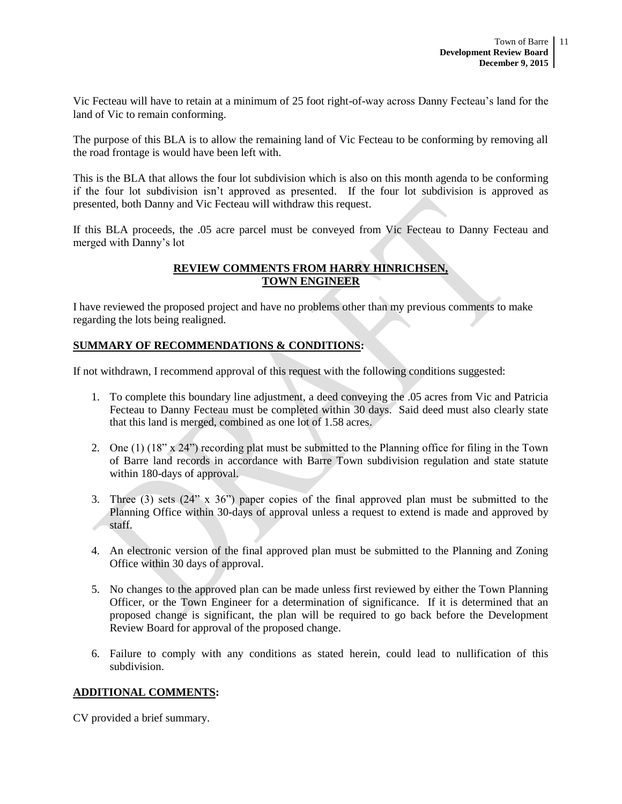Vic Fecteau will have to retain at a minimum of 25 foot right-of-way across Danny Fecteau's land for the land of Vic to remain conforming.

The purpose of this BLA is to allow the remaining land of Vic Fecteau to be conforming by removing all the road frontage is would have been left with.

This is the BLA that allows the four lot subdivision which is also on this month agenda to be conforming if the four lot subdivision isn't approved as presented. If the four lot subdivision is approved as presented, both Danny and Vic Fecteau will withdraw this request.

If this BLA proceeds, the .05 acre parcel must be conveyed from Vic Fecteau to Danny Fecteau and merged with Danny's lot

## **REVIEW COMMENTS FROM HARRY HINRICHSEN, TOWN ENGINEER**

I have reviewed the proposed project and have no problems other than my previous comments to make regarding the lots being realigned.

## **SUMMARY OF RECOMMENDATIONS & CONDITIONS:**

If not withdrawn, I recommend approval of this request with the following conditions suggested:

- 1. To complete this boundary line adjustment, a deed conveying the .05 acres from Vic and Patricia Fecteau to Danny Fecteau must be completed within 30 days. Said deed must also clearly state that this land is merged, combined as one lot of 1.58 acres.
- 2. One (1) (18" x 24") recording plat must be submitted to the Planning office for filing in the Town of Barre land records in accordance with Barre Town subdivision regulation and state statute within 180-days of approval.
- 3. Three (3) sets (24" x 36") paper copies of the final approved plan must be submitted to the Planning Office within 30-days of approval unless a request to extend is made and approved by staff.
- 4. An electronic version of the final approved plan must be submitted to the Planning and Zoning Office within 30 days of approval.
- 5. No changes to the approved plan can be made unless first reviewed by either the Town Planning Officer, or the Town Engineer for a determination of significance. If it is determined that an proposed change is significant, the plan will be required to go back before the Development Review Board for approval of the proposed change.
- 6. Failure to comply with any conditions as stated herein, could lead to nullification of this subdivision.

## **ADDITIONAL COMMENTS:**

CV provided a brief summary.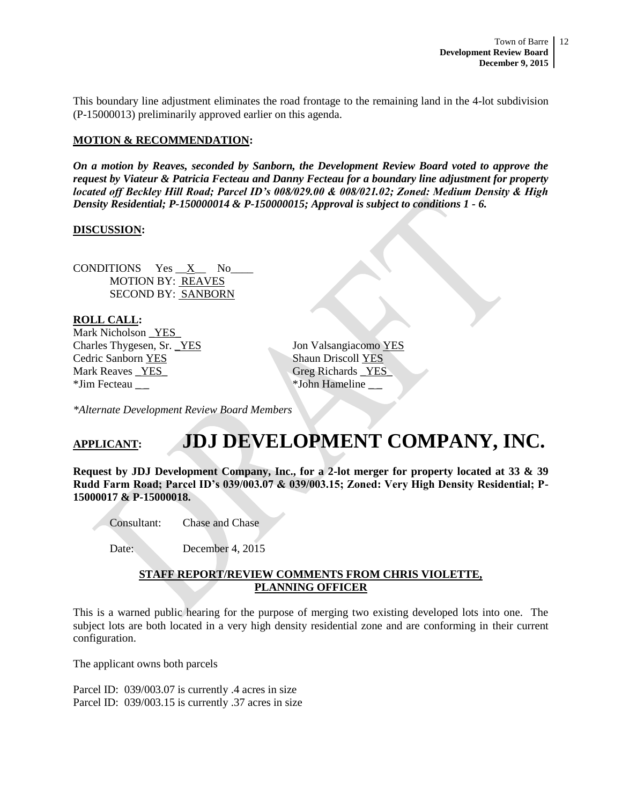This boundary line adjustment eliminates the road frontage to the remaining land in the 4-lot subdivision (P-15000013) preliminarily approved earlier on this agenda.

## **MOTION & RECOMMENDATION:**

*On a motion by Reaves, seconded by Sanborn, the Development Review Board voted to approve the request by Viateur & Patricia Fecteau and Danny Fecteau for a boundary line adjustment for property located off Beckley Hill Road; Parcel ID's 008/029.00 & 008/021.02; Zoned: Medium Density & High Density Residential; P-150000014 & P-150000015; Approval is subject to conditions 1 - 6.* 

## **DISCUSSION:**

CONDITIONS  $Yes \_X$  No MOTION BY: REAVES SECOND BY: SANBORN

**ROLL CALL:** Mark Nicholson YES Charles Thygesen, Sr. \_YES Jon Valsangiacomo YES **Cedric Sanborn YES** Shaun Driscoll YES Mark Reaves YES Greg Richards YES \*Jim Fecteau \_ \_ \*John Hameline \_ \_

*\*Alternate Development Review Board Members*

# **APPLICANT: JDJ DEVELOPMENT COMPANY, INC.**

**Request by JDJ Development Company, Inc., for a 2-lot merger for property located at 33 & 39 Rudd Farm Road; Parcel ID's 039/003.07 & 039/003.15; Zoned: Very High Density Residential; P-15000017 & P-15000018.**

Consultant: Chase and Chase

Date: December 4, 2015

## **STAFF REPORT/REVIEW COMMENTS FROM CHRIS VIOLETTE, PLANNING OFFICER**

This is a warned public hearing for the purpose of merging two existing developed lots into one. The subject lots are both located in a very high density residential zone and are conforming in their current configuration.

The applicant owns both parcels

Parcel ID: 039/003.07 is currently .4 acres in size Parcel ID: 039/003.15 is currently .37 acres in size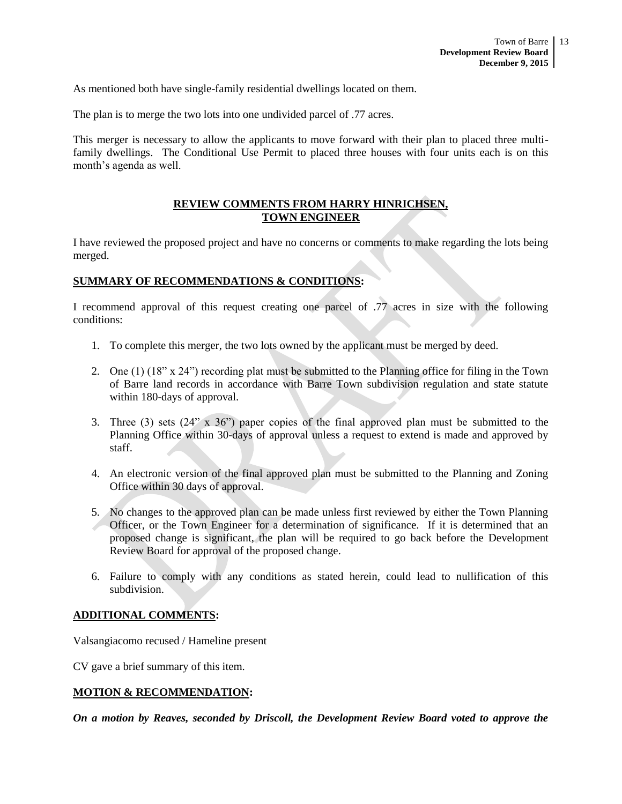As mentioned both have single-family residential dwellings located on them.

The plan is to merge the two lots into one undivided parcel of .77 acres.

This merger is necessary to allow the applicants to move forward with their plan to placed three multifamily dwellings. The Conditional Use Permit to placed three houses with four units each is on this month's agenda as well.

## **REVIEW COMMENTS FROM HARRY HINRICHSEN, TOWN ENGINEER**

I have reviewed the proposed project and have no concerns or comments to make regarding the lots being merged.

# **SUMMARY OF RECOMMENDATIONS & CONDITIONS:**

I recommend approval of this request creating one parcel of .77 acres in size with the following conditions:

- 1. To complete this merger, the two lots owned by the applicant must be merged by deed.
- 2. One (1) (18" x 24") recording plat must be submitted to the Planning office for filing in the Town of Barre land records in accordance with Barre Town subdivision regulation and state statute within 180-days of approval.
- 3. Three (3) sets (24" x 36") paper copies of the final approved plan must be submitted to the Planning Office within 30-days of approval unless a request to extend is made and approved by staff.
- 4. An electronic version of the final approved plan must be submitted to the Planning and Zoning Office within 30 days of approval.
- 5. No changes to the approved plan can be made unless first reviewed by either the Town Planning Officer, or the Town Engineer for a determination of significance. If it is determined that an proposed change is significant, the plan will be required to go back before the Development Review Board for approval of the proposed change.
- 6. Failure to comply with any conditions as stated herein, could lead to nullification of this subdivision.

#### **ADDITIONAL COMMENTS:**

Valsangiacomo recused / Hameline present

CV gave a brief summary of this item.

## **MOTION & RECOMMENDATION:**

*On a motion by Reaves, seconded by Driscoll, the Development Review Board voted to approve the*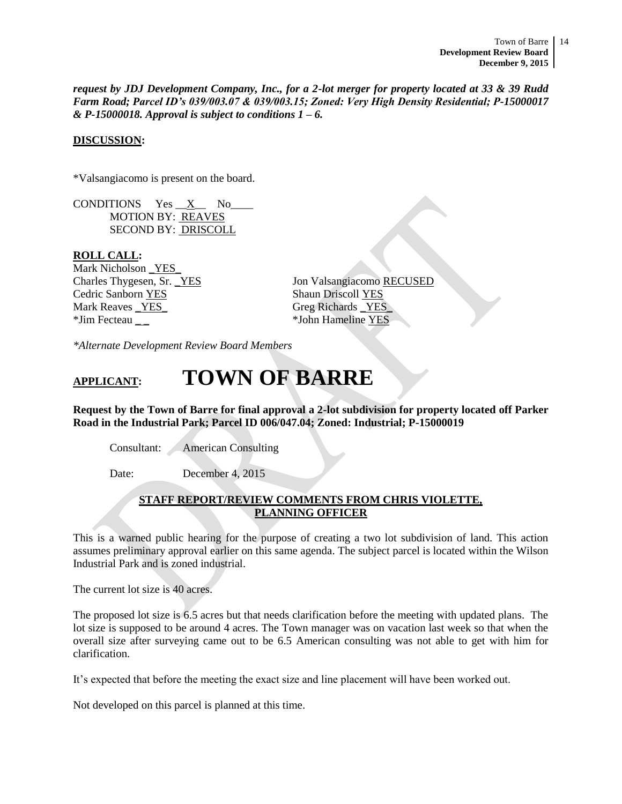*request by JDJ Development Company, Inc., for a 2-lot merger for property located at 33 & 39 Rudd Farm Road; Parcel ID's 039/003.07 & 039/003.15; Zoned: Very High Density Residential; P-15000017 & P-15000018. Approval is subject to conditions 1 – 6.* 

## **DISCUSSION:**

\*Valsangiacomo is present on the board.

CONDITIONS  $Yes \_X$  No MOTION BY: REAVES SECOND BY: DRISCOLL

#### **ROLL CALL:**

Mark Nicholson \_YES\_ Cedric Sanborn YES Shaun Driscoll YES Mark Reaves <u>\_YES</u> Greg Richards \_YES \*Jim Fecteau \_ \_ \*John Hameline YES

Charles Thygesen, Sr. YES Jon Valsangiacomo RECUSED

*\*Alternate Development Review Board Members*

# **APPLICANT: TOWN OF BARRE**

**Request by the Town of Barre for final approval a 2-lot subdivision for property located off Parker Road in the Industrial Park; Parcel ID 006/047.04; Zoned: Industrial; P-15000019**

Consultant: American Consulting

Date: December 4, 2015

## **STAFF REPORT/REVIEW COMMENTS FROM CHRIS VIOLETTE, PLANNING OFFICER**

This is a warned public hearing for the purpose of creating a two lot subdivision of land. This action assumes preliminary approval earlier on this same agenda. The subject parcel is located within the Wilson Industrial Park and is zoned industrial.

The current lot size is 40 acres.

The proposed lot size is 6.5 acres but that needs clarification before the meeting with updated plans. The lot size is supposed to be around 4 acres. The Town manager was on vacation last week so that when the overall size after surveying came out to be 6.5 American consulting was not able to get with him for clarification.

It's expected that before the meeting the exact size and line placement will have been worked out.

Not developed on this parcel is planned at this time.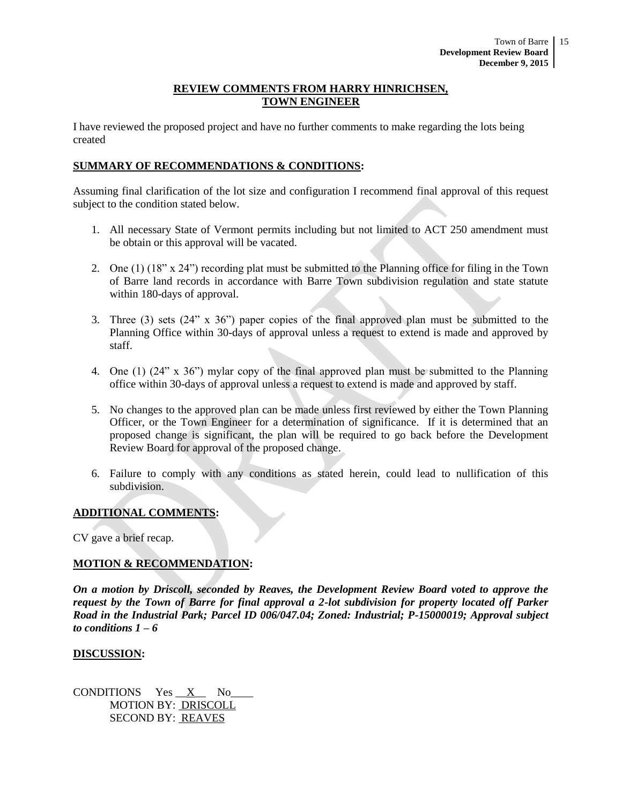## **REVIEW COMMENTS FROM HARRY HINRICHSEN, TOWN ENGINEER**

I have reviewed the proposed project and have no further comments to make regarding the lots being created

## **SUMMARY OF RECOMMENDATIONS & CONDITIONS:**

Assuming final clarification of the lot size and configuration I recommend final approval of this request subject to the condition stated below.

- 1. All necessary State of Vermont permits including but not limited to ACT 250 amendment must be obtain or this approval will be vacated.
- 2. One (1) (18" x 24") recording plat must be submitted to the Planning office for filing in the Town of Barre land records in accordance with Barre Town subdivision regulation and state statute within 180-days of approval.
- 3. Three (3) sets (24" x 36") paper copies of the final approved plan must be submitted to the Planning Office within 30-days of approval unless a request to extend is made and approved by staff.
- 4. One (1) (24" x 36") mylar copy of the final approved plan must be submitted to the Planning office within 30-days of approval unless a request to extend is made and approved by staff.
- 5. No changes to the approved plan can be made unless first reviewed by either the Town Planning Officer, or the Town Engineer for a determination of significance. If it is determined that an proposed change is significant, the plan will be required to go back before the Development Review Board for approval of the proposed change.
- 6. Failure to comply with any conditions as stated herein, could lead to nullification of this subdivision.

## **ADDITIONAL COMMENTS:**

CV gave a brief recap.

## **MOTION & RECOMMENDATION:**

*On a motion by Driscoll, seconded by Reaves, the Development Review Board voted to approve the request by the Town of Barre for final approval a 2-lot subdivision for property located off Parker Road in the Industrial Park; Parcel ID 006/047.04; Zoned: Industrial; P-15000019; Approval subject to conditions 1 – 6* 

#### **DISCUSSION:**

CONDITIONS Yes  $X$  No MOTION BY: DRISCOLL SECOND BY: REAVES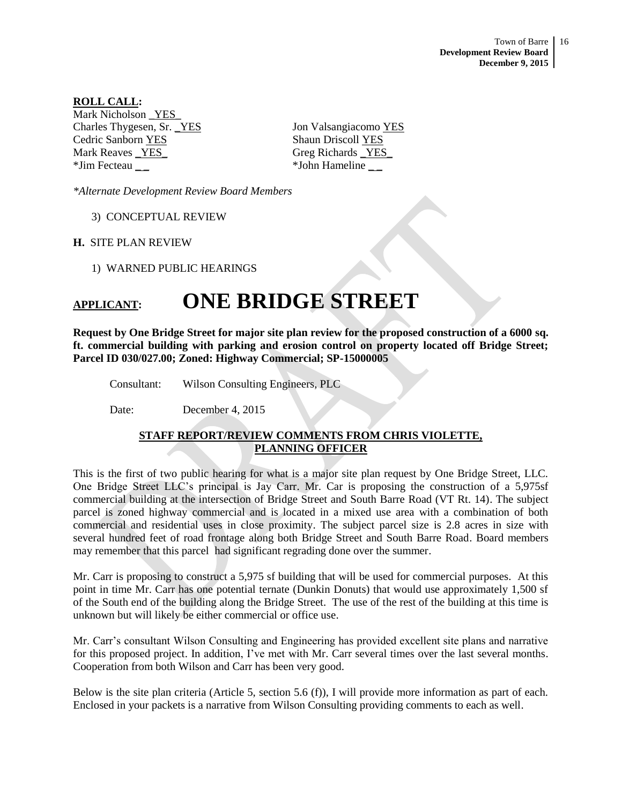Town of Barre 16 **Development Review Board December 9, 2015**

**ROLL CALL:** Mark Nicholson YES Charles Thygesen, Sr. <u>YES</u> Jon Valsangiacomo YES Cedric Sanborn YES Shaun Driscoll YES Mark Reaves \_YES\_ Greg Richards \_YES\_ \*Jim Fecteau \_ \_ \*John Hameline \_ \_

*\*Alternate Development Review Board Members*

3) CONCEPTUAL REVIEW

**H.** SITE PLAN REVIEW

1) WARNED PUBLIC HEARINGS

# **APPLICANT: ONE BRIDGE STREET**

**Request by One Bridge Street for major site plan review for the proposed construction of a 6000 sq. ft. commercial building with parking and erosion control on property located off Bridge Street; Parcel ID 030/027.00; Zoned: Highway Commercial; SP-15000005**

Consultant: Wilson Consulting Engineers, PLC

Date: December 4, 2015

# **STAFF REPORT/REVIEW COMMENTS FROM CHRIS VIOLETTE, PLANNING OFFICER**

This is the first of two public hearing for what is a major site plan request by One Bridge Street, LLC. One Bridge Street LLC's principal is Jay Carr. Mr. Car is proposing the construction of a 5,975sf commercial building at the intersection of Bridge Street and South Barre Road (VT Rt. 14). The subject parcel is zoned highway commercial and is located in a mixed use area with a combination of both commercial and residential uses in close proximity. The subject parcel size is 2.8 acres in size with several hundred feet of road frontage along both Bridge Street and South Barre Road. Board members may remember that this parcel had significant regrading done over the summer.

Mr. Carr is proposing to construct a 5,975 sf building that will be used for commercial purposes. At this point in time Mr. Carr has one potential ternate (Dunkin Donuts) that would use approximately 1,500 sf of the South end of the building along the Bridge Street. The use of the rest of the building at this time is unknown but will likely be either commercial or office use.

Mr. Carr's consultant Wilson Consulting and Engineering has provided excellent site plans and narrative for this proposed project. In addition, I've met with Mr. Carr several times over the last several months. Cooperation from both Wilson and Carr has been very good.

Below is the site plan criteria (Article 5, section 5.6 (f)), I will provide more information as part of each. Enclosed in your packets is a narrative from Wilson Consulting providing comments to each as well.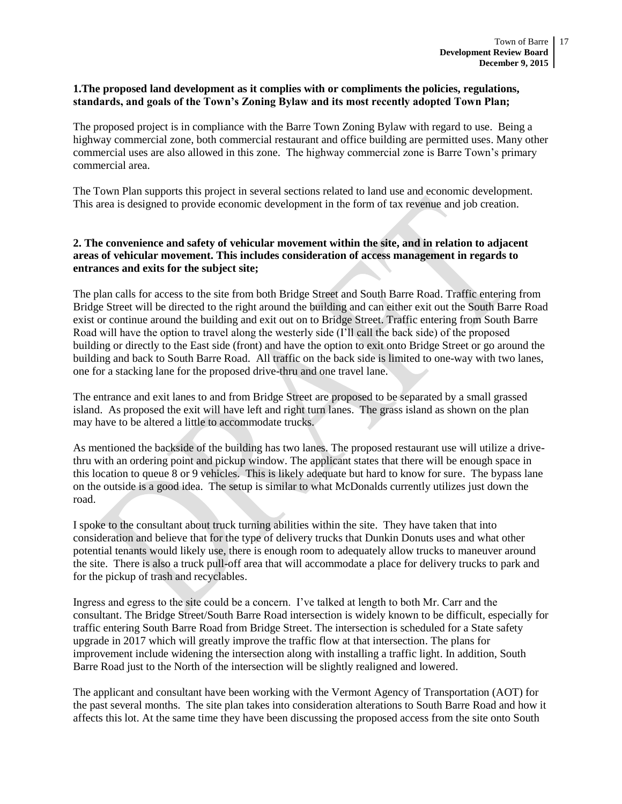## **1.The proposed land development as it complies with or compliments the policies, regulations, standards, and goals of the Town's Zoning Bylaw and its most recently adopted Town Plan;**

The proposed project is in compliance with the Barre Town Zoning Bylaw with regard to use. Being a highway commercial zone, both commercial restaurant and office building are permitted uses. Many other commercial uses are also allowed in this zone. The highway commercial zone is Barre Town's primary commercial area.

The Town Plan supports this project in several sections related to land use and economic development. This area is designed to provide economic development in the form of tax revenue and job creation.

## **2. The convenience and safety of vehicular movement within the site, and in relation to adjacent areas of vehicular movement. This includes consideration of access management in regards to entrances and exits for the subject site;**

The plan calls for access to the site from both Bridge Street and South Barre Road. Traffic entering from Bridge Street will be directed to the right around the building and can either exit out the South Barre Road exist or continue around the building and exit out on to Bridge Street. Traffic entering from South Barre Road will have the option to travel along the westerly side (I'll call the back side) of the proposed building or directly to the East side (front) and have the option to exit onto Bridge Street or go around the building and back to South Barre Road. All traffic on the back side is limited to one-way with two lanes, one for a stacking lane for the proposed drive-thru and one travel lane.

The entrance and exit lanes to and from Bridge Street are proposed to be separated by a small grassed island. As proposed the exit will have left and right turn lanes. The grass island as shown on the plan may have to be altered a little to accommodate trucks.

As mentioned the backside of the building has two lanes. The proposed restaurant use will utilize a drivethru with an ordering point and pickup window. The applicant states that there will be enough space in this location to queue 8 or 9 vehicles. This is likely adequate but hard to know for sure. The bypass lane on the outside is a good idea. The setup is similar to what McDonalds currently utilizes just down the road.

I spoke to the consultant about truck turning abilities within the site. They have taken that into consideration and believe that for the type of delivery trucks that Dunkin Donuts uses and what other potential tenants would likely use, there is enough room to adequately allow trucks to maneuver around the site. There is also a truck pull-off area that will accommodate a place for delivery trucks to park and for the pickup of trash and recyclables.

Ingress and egress to the site could be a concern. I've talked at length to both Mr. Carr and the consultant. The Bridge Street/South Barre Road intersection is widely known to be difficult, especially for traffic entering South Barre Road from Bridge Street. The intersection is scheduled for a State safety upgrade in 2017 which will greatly improve the traffic flow at that intersection. The plans for improvement include widening the intersection along with installing a traffic light. In addition, South Barre Road just to the North of the intersection will be slightly realigned and lowered.

The applicant and consultant have been working with the Vermont Agency of Transportation (AOT) for the past several months. The site plan takes into consideration alterations to South Barre Road and how it affects this lot. At the same time they have been discussing the proposed access from the site onto South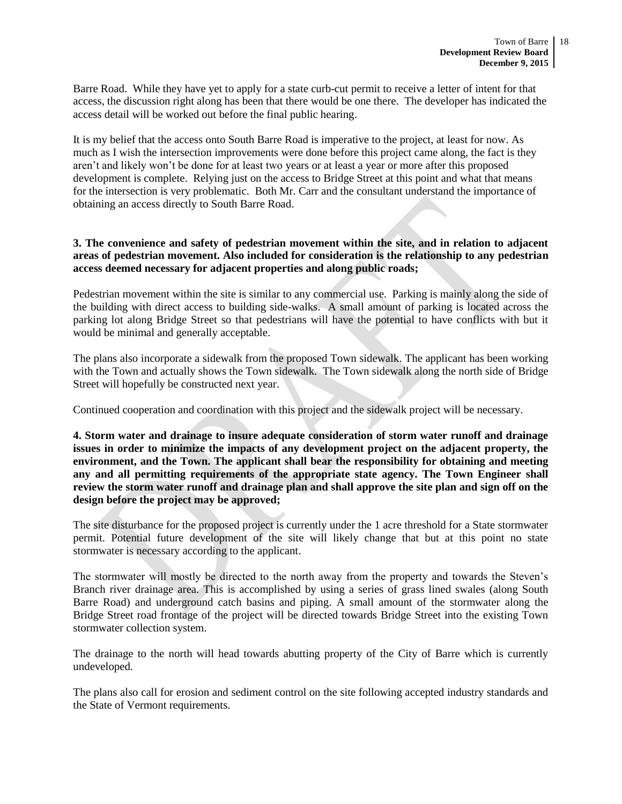Barre Road. While they have yet to apply for a state curb-cut permit to receive a letter of intent for that access, the discussion right along has been that there would be one there. The developer has indicated the access detail will be worked out before the final public hearing.

It is my belief that the access onto South Barre Road is imperative to the project, at least for now. As much as I wish the intersection improvements were done before this project came along, the fact is they aren't and likely won't be done for at least two years or at least a year or more after this proposed development is complete. Relying just on the access to Bridge Street at this point and what that means for the intersection is very problematic. Both Mr. Carr and the consultant understand the importance of obtaining an access directly to South Barre Road.

## **3. The convenience and safety of pedestrian movement within the site, and in relation to adjacent areas of pedestrian movement. Also included for consideration is the relationship to any pedestrian access deemed necessary for adjacent properties and along public roads;**

Pedestrian movement within the site is similar to any commercial use. Parking is mainly along the side of the building with direct access to building side-walks. A small amount of parking is located across the parking lot along Bridge Street so that pedestrians will have the potential to have conflicts with but it would be minimal and generally acceptable.

The plans also incorporate a sidewalk from the proposed Town sidewalk. The applicant has been working with the Town and actually shows the Town sidewalk. The Town sidewalk along the north side of Bridge Street will hopefully be constructed next year.

Continued cooperation and coordination with this project and the sidewalk project will be necessary.

**4. Storm water and drainage to insure adequate consideration of storm water runoff and drainage issues in order to minimize the impacts of any development project on the adjacent property, the environment, and the Town. The applicant shall bear the responsibility for obtaining and meeting any and all permitting requirements of the appropriate state agency. The Town Engineer shall review the storm water runoff and drainage plan and shall approve the site plan and sign off on the design before the project may be approved;** 

The site disturbance for the proposed project is currently under the 1 acre threshold for a State stormwater permit. Potential future development of the site will likely change that but at this point no state stormwater is necessary according to the applicant.

The stormwater will mostly be directed to the north away from the property and towards the Steven's Branch river drainage area. This is accomplished by using a series of grass lined swales (along South Barre Road) and underground catch basins and piping. A small amount of the stormwater along the Bridge Street road frontage of the project will be directed towards Bridge Street into the existing Town stormwater collection system.

The drainage to the north will head towards abutting property of the City of Barre which is currently undeveloped.

The plans also call for erosion and sediment control on the site following accepted industry standards and the State of Vermont requirements.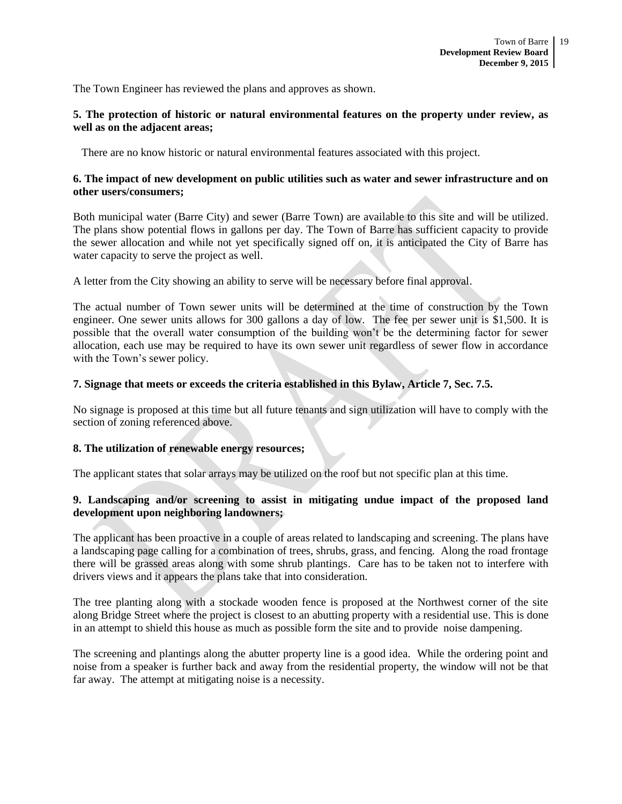The Town Engineer has reviewed the plans and approves as shown.

## **5. The protection of historic or natural environmental features on the property under review, as well as on the adjacent areas;**

There are no know historic or natural environmental features associated with this project.

## **6. The impact of new development on public utilities such as water and sewer infrastructure and on other users/consumers;**

Both municipal water (Barre City) and sewer (Barre Town) are available to this site and will be utilized. The plans show potential flows in gallons per day. The Town of Barre has sufficient capacity to provide the sewer allocation and while not yet specifically signed off on, it is anticipated the City of Barre has water capacity to serve the project as well.

A letter from the City showing an ability to serve will be necessary before final approval.

The actual number of Town sewer units will be determined at the time of construction by the Town engineer. One sewer units allows for 300 gallons a day of low. The fee per sewer unit is \$1,500. It is possible that the overall water consumption of the building won't be the determining factor for sewer allocation, each use may be required to have its own sewer unit regardless of sewer flow in accordance with the Town's sewer policy.

## **7. Signage that meets or exceeds the criteria established in this Bylaw, Article 7, Sec. 7.5.**

No signage is proposed at this time but all future tenants and sign utilization will have to comply with the section of zoning referenced above.

## **8. The utilization of renewable energy resources;**

The applicant states that solar arrays may be utilized on the roof but not specific plan at this time.

## **9. Landscaping and/or screening to assist in mitigating undue impact of the proposed land development upon neighboring landowners;**

The applicant has been proactive in a couple of areas related to landscaping and screening. The plans have a landscaping page calling for a combination of trees, shrubs, grass, and fencing. Along the road frontage there will be grassed areas along with some shrub plantings. Care has to be taken not to interfere with drivers views and it appears the plans take that into consideration.

The tree planting along with a stockade wooden fence is proposed at the Northwest corner of the site along Bridge Street where the project is closest to an abutting property with a residential use. This is done in an attempt to shield this house as much as possible form the site and to provide noise dampening.

The screening and plantings along the abutter property line is a good idea. While the ordering point and noise from a speaker is further back and away from the residential property, the window will not be that far away. The attempt at mitigating noise is a necessity.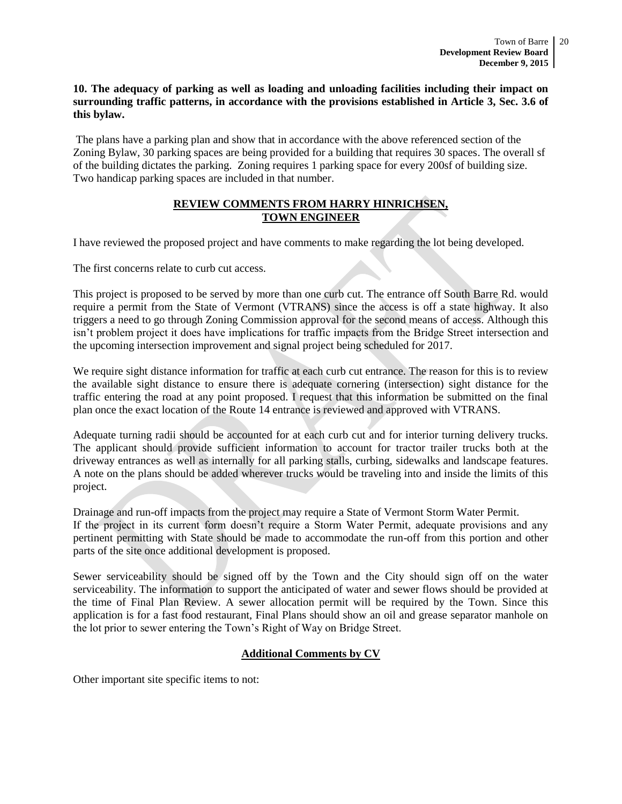## **10. The adequacy of parking as well as loading and unloading facilities including their impact on surrounding traffic patterns, in accordance with the provisions established in Article 3, Sec. 3.6 of this bylaw.**

The plans have a parking plan and show that in accordance with the above referenced section of the Zoning Bylaw, 30 parking spaces are being provided for a building that requires 30 spaces. The overall sf of the building dictates the parking. Zoning requires 1 parking space for every 200sf of building size. Two handicap parking spaces are included in that number.

# **REVIEW COMMENTS FROM HARRY HINRICHSEN, TOWN ENGINEER**

I have reviewed the proposed project and have comments to make regarding the lot being developed.

The first concerns relate to curb cut access.

This project is proposed to be served by more than one curb cut. The entrance off South Barre Rd. would require a permit from the State of Vermont (VTRANS) since the access is off a state highway. It also triggers a need to go through Zoning Commission approval for the second means of access. Although this isn't problem project it does have implications for traffic impacts from the Bridge Street intersection and the upcoming intersection improvement and signal project being scheduled for 2017.

We require sight distance information for traffic at each curb cut entrance. The reason for this is to review the available sight distance to ensure there is adequate cornering (intersection) sight distance for the traffic entering the road at any point proposed. I request that this information be submitted on the final plan once the exact location of the Route 14 entrance is reviewed and approved with VTRANS.

Adequate turning radii should be accounted for at each curb cut and for interior turning delivery trucks. The applicant should provide sufficient information to account for tractor trailer trucks both at the driveway entrances as well as internally for all parking stalls, curbing, sidewalks and landscape features. A note on the plans should be added wherever trucks would be traveling into and inside the limits of this project.

Drainage and run-off impacts from the project may require a State of Vermont Storm Water Permit. If the project in its current form doesn't require a Storm Water Permit, adequate provisions and any pertinent permitting with State should be made to accommodate the run-off from this portion and other parts of the site once additional development is proposed.

Sewer serviceability should be signed off by the Town and the City should sign off on the water serviceability. The information to support the anticipated of water and sewer flows should be provided at the time of Final Plan Review. A sewer allocation permit will be required by the Town. Since this application is for a fast food restaurant, Final Plans should show an oil and grease separator manhole on the lot prior to sewer entering the Town's Right of Way on Bridge Street.

# **Additional Comments by CV**

Other important site specific items to not: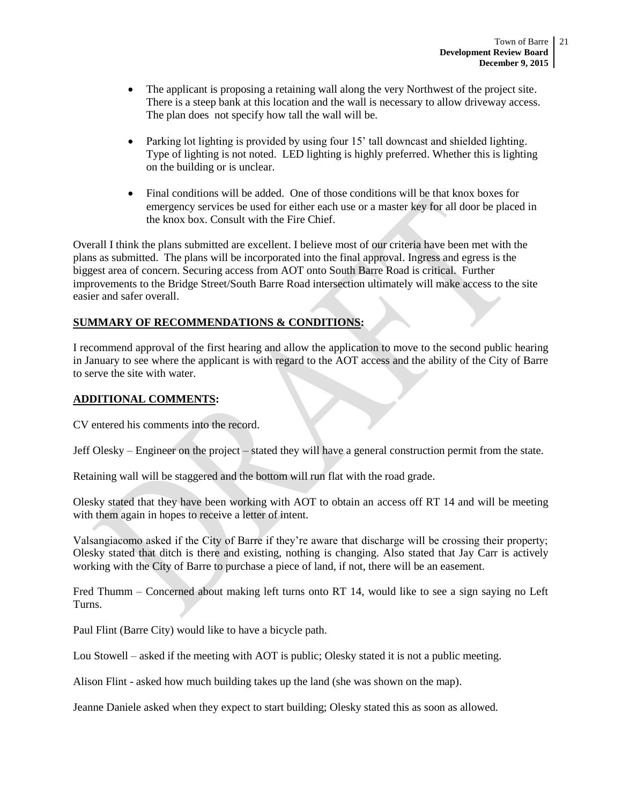- The applicant is proposing a retaining wall along the very Northwest of the project site. There is a steep bank at this location and the wall is necessary to allow driveway access. The plan does not specify how tall the wall will be.
- Parking lot lighting is provided by using four 15' tall downcast and shielded lighting. Type of lighting is not noted. LED lighting is highly preferred. Whether this is lighting on the building or is unclear.
- Final conditions will be added. One of those conditions will be that knox boxes for emergency services be used for either each use or a master key for all door be placed in the knox box. Consult with the Fire Chief.

Overall I think the plans submitted are excellent. I believe most of our criteria have been met with the plans as submitted. The plans will be incorporated into the final approval. Ingress and egress is the biggest area of concern. Securing access from AOT onto South Barre Road is critical. Further improvements to the Bridge Street/South Barre Road intersection ultimately will make access to the site easier and safer overall.

# **SUMMARY OF RECOMMENDATIONS & CONDITIONS:**

I recommend approval of the first hearing and allow the application to move to the second public hearing in January to see where the applicant is with regard to the AOT access and the ability of the City of Barre to serve the site with water.

## **ADDITIONAL COMMENTS:**

CV entered his comments into the record.

Jeff Olesky – Engineer on the project – stated they will have a general construction permit from the state.

Retaining wall will be staggered and the bottom will run flat with the road grade.

Olesky stated that they have been working with AOT to obtain an access off RT 14 and will be meeting with them again in hopes to receive a letter of intent.

Valsangiacomo asked if the City of Barre if they're aware that discharge will be crossing their property; Olesky stated that ditch is there and existing, nothing is changing. Also stated that Jay Carr is actively working with the City of Barre to purchase a piece of land, if not, there will be an easement.

Fred Thumm – Concerned about making left turns onto RT 14, would like to see a sign saying no Left Turns.

Paul Flint (Barre City) would like to have a bicycle path.

Lou Stowell – asked if the meeting with AOT is public; Olesky stated it is not a public meeting.

Alison Flint - asked how much building takes up the land (she was shown on the map).

Jeanne Daniele asked when they expect to start building; Olesky stated this as soon as allowed.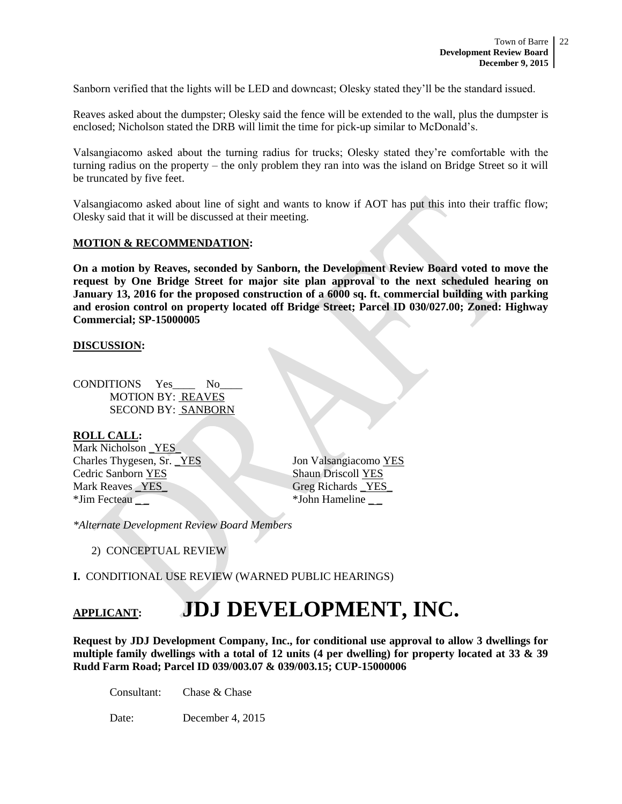Sanborn verified that the lights will be LED and downcast; Olesky stated they'll be the standard issued.

Reaves asked about the dumpster; Olesky said the fence will be extended to the wall, plus the dumpster is enclosed; Nicholson stated the DRB will limit the time for pick-up similar to McDonald's.

Valsangiacomo asked about the turning radius for trucks; Olesky stated they're comfortable with the turning radius on the property – the only problem they ran into was the island on Bridge Street so it will be truncated by five feet.

Valsangiacomo asked about line of sight and wants to know if AOT has put this into their traffic flow; Olesky said that it will be discussed at their meeting.

## **MOTION & RECOMMENDATION:**

**On a motion by Reaves, seconded by Sanborn, the Development Review Board voted to move the request by One Bridge Street for major site plan approval to the next scheduled hearing on January 13, 2016 for the proposed construction of a 6000 sq. ft. commercial building with parking and erosion control on property located off Bridge Street; Parcel ID 030/027.00; Zoned: Highway Commercial; SP-15000005**

#### **DISCUSSION:**

CONDITIONS Yes No MOTION BY: REAVES SECOND BY: SANBORN

## **ROLL CALL:**

Mark Nicholson YES Charles Thygesen, Sr. YES Jon Valsangiacomo YES Cedric Sanborn YES Shaun Driscoll YES Mark Reaves **YES** Greg Richards YES \*Jim Fecteau \_ \_ \*John Hameline \_ \_

*\*Alternate Development Review Board Members*

2) CONCEPTUAL REVIEW

**I.** CONDITIONAL USE REVIEW (WARNED PUBLIC HEARINGS)

# **APPLICANT: JDJ DEVELOPMENT, INC.**

**Request by JDJ Development Company, Inc., for conditional use approval to allow 3 dwellings for multiple family dwellings with a total of 12 units (4 per dwelling) for property located at 33 & 39 Rudd Farm Road; Parcel ID 039/003.07 & 039/003.15; CUP-15000006**

Consultant: Chase & Chase

Date: December 4, 2015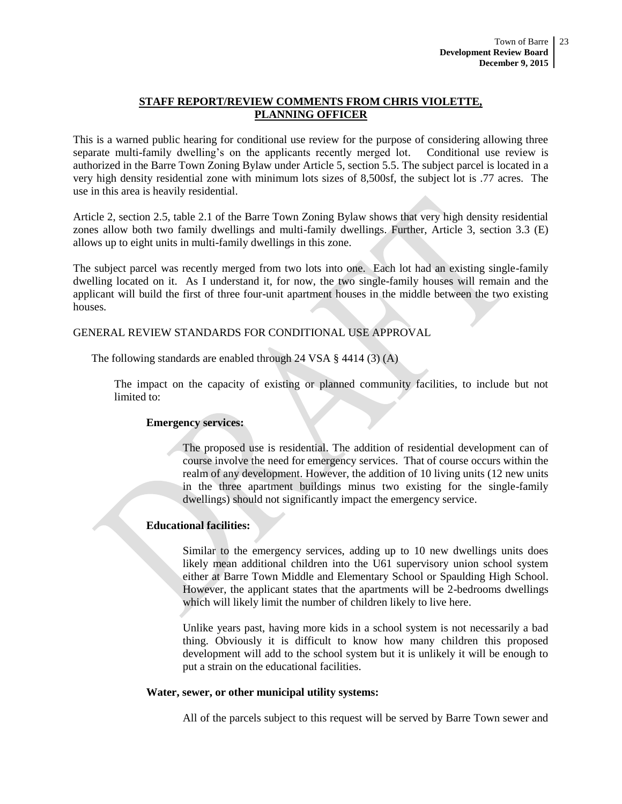## **STAFF REPORT/REVIEW COMMENTS FROM CHRIS VIOLETTE, PLANNING OFFICER**

This is a warned public hearing for conditional use review for the purpose of considering allowing three separate multi-family dwelling's on the applicants recently merged lot. Conditional use review is authorized in the Barre Town Zoning Bylaw under Article 5, section 5.5. The subject parcel is located in a very high density residential zone with minimum lots sizes of 8,500sf, the subject lot is .77 acres. The use in this area is heavily residential.

Article 2, section 2.5, table 2.1 of the Barre Town Zoning Bylaw shows that very high density residential zones allow both two family dwellings and multi-family dwellings. Further, Article 3, section 3.3 (E) allows up to eight units in multi-family dwellings in this zone.

The subject parcel was recently merged from two lots into one. Each lot had an existing single-family dwelling located on it. As I understand it, for now, the two single-family houses will remain and the applicant will build the first of three four-unit apartment houses in the middle between the two existing houses.

## GENERAL REVIEW STANDARDS FOR CONDITIONAL USE APPROVAL

The following standards are enabled through 24 VSA § 4414 (3) (A)

The impact on the capacity of existing or planned community facilities, to include but not limited to:

#### **Emergency services:**

The proposed use is residential. The addition of residential development can of course involve the need for emergency services. That of course occurs within the realm of any development. However, the addition of 10 living units (12 new units in the three apartment buildings minus two existing for the single-family dwellings) should not significantly impact the emergency service.

## **Educational facilities:**

Similar to the emergency services, adding up to 10 new dwellings units does likely mean additional children into the U61 supervisory union school system either at Barre Town Middle and Elementary School or Spaulding High School. However, the applicant states that the apartments will be 2-bedrooms dwellings which will likely limit the number of children likely to live here.

Unlike years past, having more kids in a school system is not necessarily a bad thing. Obviously it is difficult to know how many children this proposed development will add to the school system but it is unlikely it will be enough to put a strain on the educational facilities.

#### **Water, sewer, or other municipal utility systems:**

All of the parcels subject to this request will be served by Barre Town sewer and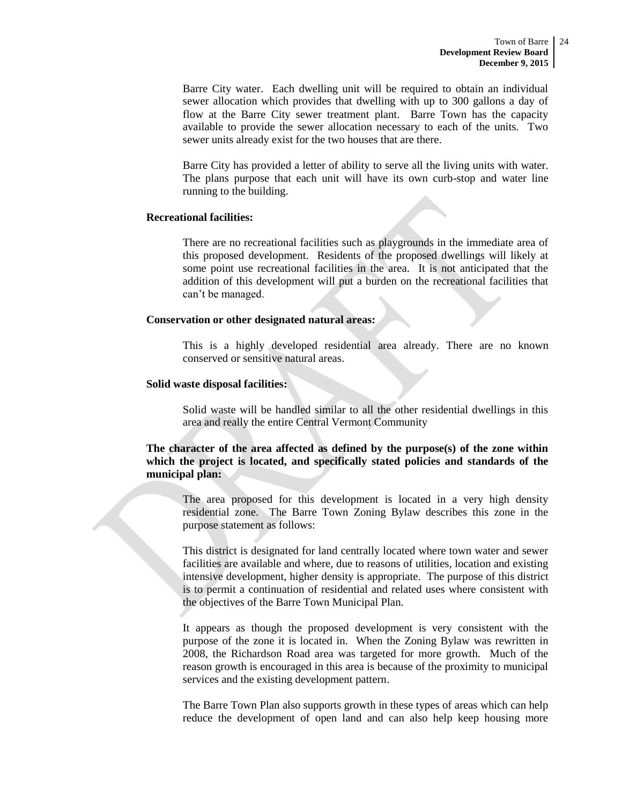Barre City water. Each dwelling unit will be required to obtain an individual sewer allocation which provides that dwelling with up to 300 gallons a day of flow at the Barre City sewer treatment plant. Barre Town has the capacity available to provide the sewer allocation necessary to each of the units. Two sewer units already exist for the two houses that are there.

Barre City has provided a letter of ability to serve all the living units with water. The plans purpose that each unit will have its own curb-stop and water line running to the building.

## **Recreational facilities:**

There are no recreational facilities such as playgrounds in the immediate area of this proposed development. Residents of the proposed dwellings will likely at some point use recreational facilities in the area. It is not anticipated that the addition of this development will put a burden on the recreational facilities that can't be managed.

#### **Conservation or other designated natural areas:**

This is a highly developed residential area already. There are no known conserved or sensitive natural areas.

## **Solid waste disposal facilities:**

Solid waste will be handled similar to all the other residential dwellings in this area and really the entire Central Vermont Community

## **The character of the area affected as defined by the purpose(s) of the zone within which the project is located, and specifically stated policies and standards of the municipal plan:**

The area proposed for this development is located in a very high density residential zone. The Barre Town Zoning Bylaw describes this zone in the purpose statement as follows:

This district is designated for land centrally located where town water and sewer facilities are available and where, due to reasons of utilities, location and existing intensive development, higher density is appropriate. The purpose of this district is to permit a continuation of residential and related uses where consistent with the objectives of the Barre Town Municipal Plan.

It appears as though the proposed development is very consistent with the purpose of the zone it is located in. When the Zoning Bylaw was rewritten in 2008, the Richardson Road area was targeted for more growth. Much of the reason growth is encouraged in this area is because of the proximity to municipal services and the existing development pattern.

The Barre Town Plan also supports growth in these types of areas which can help reduce the development of open land and can also help keep housing more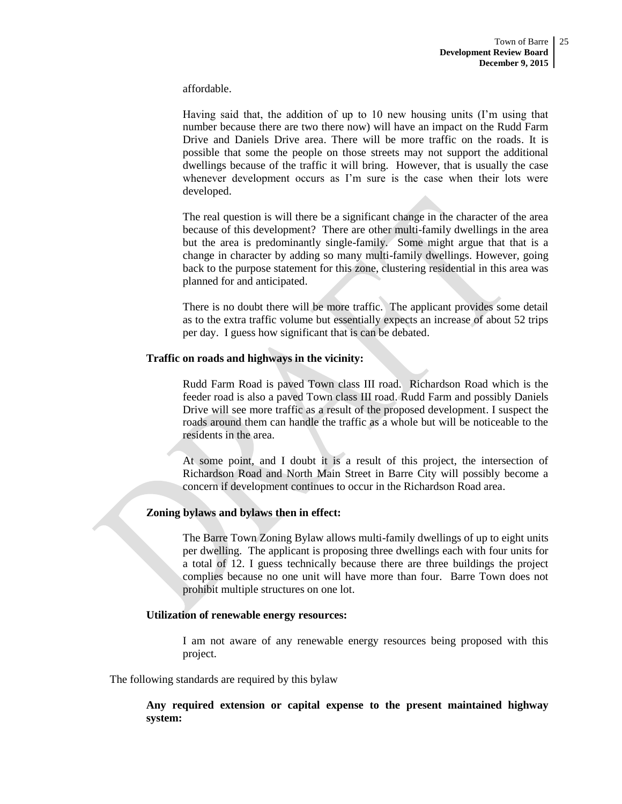affordable.

Having said that, the addition of up to 10 new housing units (I'm using that number because there are two there now) will have an impact on the Rudd Farm Drive and Daniels Drive area. There will be more traffic on the roads. It is possible that some the people on those streets may not support the additional dwellings because of the traffic it will bring. However, that is usually the case whenever development occurs as I'm sure is the case when their lots were developed.

The real question is will there be a significant change in the character of the area because of this development? There are other multi-family dwellings in the area but the area is predominantly single-family. Some might argue that that is a change in character by adding so many multi-family dwellings. However, going back to the purpose statement for this zone, clustering residential in this area was planned for and anticipated.

There is no doubt there will be more traffic. The applicant provides some detail as to the extra traffic volume but essentially expects an increase of about 52 trips per day. I guess how significant that is can be debated.

## **Traffic on roads and highways in the vicinity:**

Rudd Farm Road is paved Town class III road. Richardson Road which is the feeder road is also a paved Town class III road. Rudd Farm and possibly Daniels Drive will see more traffic as a result of the proposed development. I suspect the roads around them can handle the traffic as a whole but will be noticeable to the residents in the area.

At some point, and I doubt it is a result of this project, the intersection of Richardson Road and North Main Street in Barre City will possibly become a concern if development continues to occur in the Richardson Road area.

#### **Zoning bylaws and bylaws then in effect:**

The Barre Town Zoning Bylaw allows multi-family dwellings of up to eight units per dwelling. The applicant is proposing three dwellings each with four units for a total of 12. I guess technically because there are three buildings the project complies because no one unit will have more than four. Barre Town does not prohibit multiple structures on one lot.

#### **Utilization of renewable energy resources:**

I am not aware of any renewable energy resources being proposed with this project.

The following standards are required by this bylaw

**Any required extension or capital expense to the present maintained highway system:**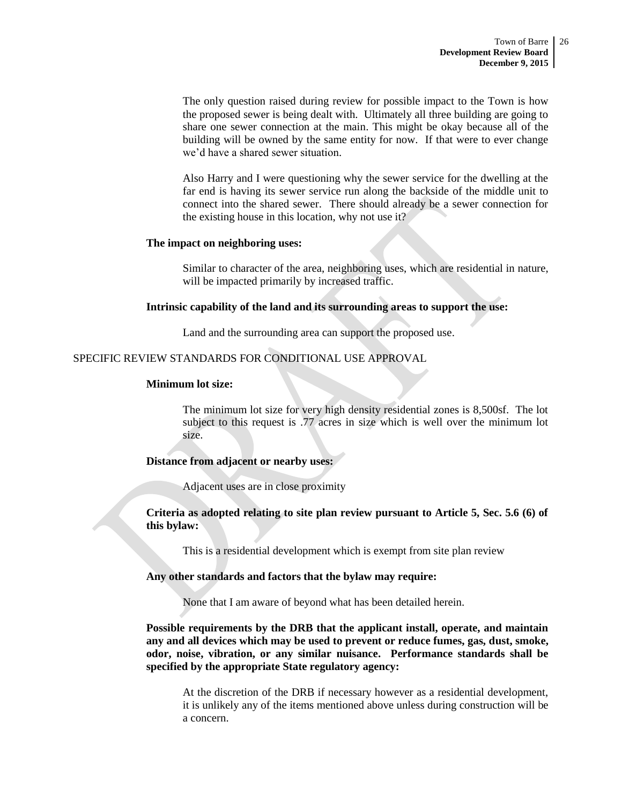The only question raised during review for possible impact to the Town is how the proposed sewer is being dealt with. Ultimately all three building are going to share one sewer connection at the main. This might be okay because all of the building will be owned by the same entity for now. If that were to ever change we'd have a shared sewer situation.

Also Harry and I were questioning why the sewer service for the dwelling at the far end is having its sewer service run along the backside of the middle unit to connect into the shared sewer. There should already be a sewer connection for the existing house in this location, why not use it?

## **The impact on neighboring uses:**

Similar to character of the area, neighboring uses, which are residential in nature, will be impacted primarily by increased traffic.

## **Intrinsic capability of the land and its surrounding areas to support the use:**

Land and the surrounding area can support the proposed use.

## SPECIFIC REVIEW STANDARDS FOR CONDITIONAL USE APPROVAL

#### **Minimum lot size:**

The minimum lot size for very high density residential zones is 8,500sf. The lot subject to this request is .77 acres in size which is well over the minimum lot size.

## **Distance from adjacent or nearby uses:**

Adjacent uses are in close proximity

**Criteria as adopted relating to site plan review pursuant to Article 5, Sec. 5.6 (6) of this bylaw:**

This is a residential development which is exempt from site plan review

#### **Any other standards and factors that the bylaw may require:**

None that I am aware of beyond what has been detailed herein.

**Possible requirements by the DRB that the applicant install, operate, and maintain any and all devices which may be used to prevent or reduce fumes, gas, dust, smoke, odor, noise, vibration, or any similar nuisance. Performance standards shall be specified by the appropriate State regulatory agency:**

At the discretion of the DRB if necessary however as a residential development, it is unlikely any of the items mentioned above unless during construction will be a concern.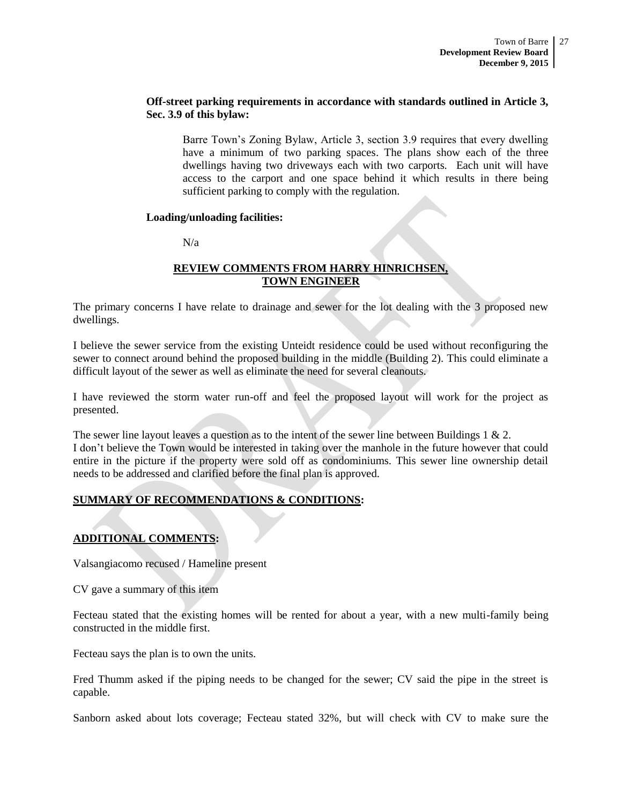## **Off-street parking requirements in accordance with standards outlined in Article 3, Sec. 3.9 of this bylaw:**

Barre Town's Zoning Bylaw, Article 3, section 3.9 requires that every dwelling have a minimum of two parking spaces. The plans show each of the three dwellings having two driveways each with two carports. Each unit will have access to the carport and one space behind it which results in there being sufficient parking to comply with the regulation.

## **Loading/unloading facilities:**

 $N/a$ 

## **REVIEW COMMENTS FROM HARRY HINRICHSEN, TOWN ENGINEER**

The primary concerns I have relate to drainage and sewer for the lot dealing with the 3 proposed new dwellings.

I believe the sewer service from the existing Unteidt residence could be used without reconfiguring the sewer to connect around behind the proposed building in the middle (Building 2). This could eliminate a difficult layout of the sewer as well as eliminate the need for several cleanouts.

I have reviewed the storm water run-off and feel the proposed layout will work for the project as presented.

The sewer line layout leaves a question as to the intent of the sewer line between Buildings 1 & 2. I don't believe the Town would be interested in taking over the manhole in the future however that could entire in the picture if the property were sold off as condominiums. This sewer line ownership detail needs to be addressed and clarified before the final plan is approved.

# **SUMMARY OF RECOMMENDATIONS & CONDITIONS:**

# **ADDITIONAL COMMENTS:**

Valsangiacomo recused / Hameline present

CV gave a summary of this item

Fecteau stated that the existing homes will be rented for about a year, with a new multi-family being constructed in the middle first.

Fecteau says the plan is to own the units.

Fred Thumm asked if the piping needs to be changed for the sewer; CV said the pipe in the street is capable.

Sanborn asked about lots coverage; Fecteau stated 32%, but will check with CV to make sure the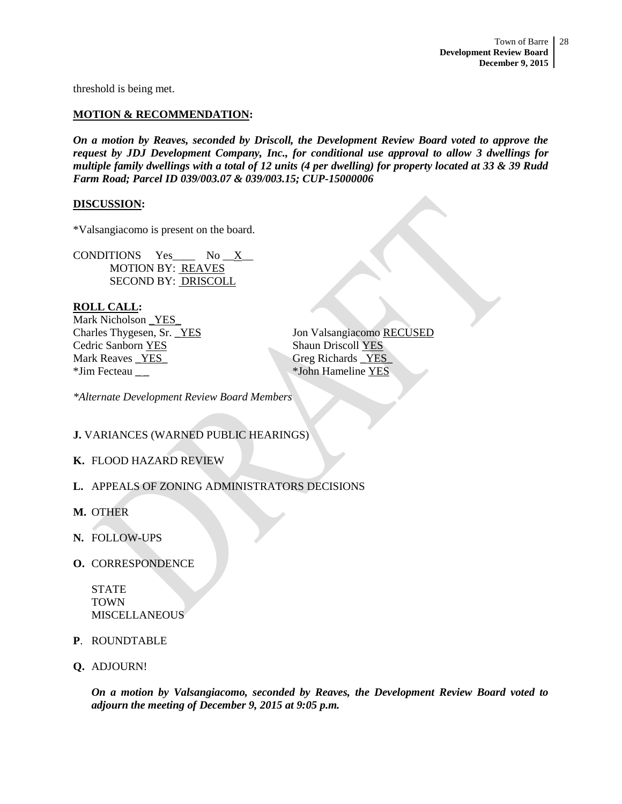threshold is being met.

# **MOTION & RECOMMENDATION:**

*On a motion by Reaves, seconded by Driscoll, the Development Review Board voted to approve the request by JDJ Development Company, Inc., for conditional use approval to allow 3 dwellings for multiple family dwellings with a total of 12 units (4 per dwelling) for property located at 33 & 39 Rudd Farm Road; Parcel ID 039/003.07 & 039/003.15; CUP-15000006*

## **DISCUSSION:**

\*Valsangiacomo is present on the board.

CONDITIONS Yes\_\_\_\_ No \_\_X\_\_ MOTION BY: REAVES SECOND BY: DRISCOLL

# **ROLL CALL:**

Mark Nicholson \_YES\_ Cedric Sanborn YES Shaun Driscoll YES Mark Reaves YES Greg Richards YES \*Jim Fecteau \_ \_ \*John Hameline YES

Charles Thygesen, Sr. <u>YES</u> Jon Valsangiacomo RECUSED

*\*Alternate Development Review Board Members*

# **J.** VARIANCES (WARNED PUBLIC HEARINGS)

# **K.** FLOOD HAZARD REVIEW

- **L.** APPEALS OF ZONING ADMINISTRATORS DECISIONS
- **M.** OTHER
- **N.** FOLLOW-UPS
- **O.** CORRESPONDENCE

STATE TOWN MISCELLANEOUS

- **P**. ROUNDTABLE
- **Q.** ADJOURN!

*On a motion by Valsangiacomo, seconded by Reaves, the Development Review Board voted to adjourn the meeting of December 9, 2015 at 9:05 p.m.*